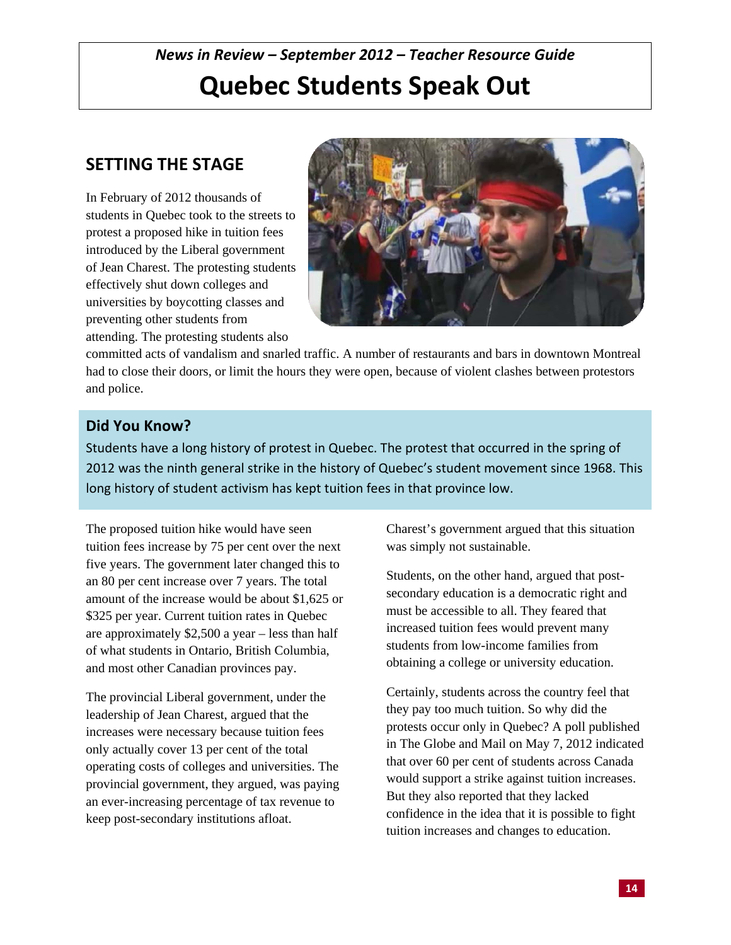# *News in Review – September 2012 – Teacher Resource Guide*  **Quebec Students Speak Out**

# **SETTING THE STAGE**

In February of 2012 thousands of students in Quebec took to the streets to protest a proposed hike in tuition fees introduced by the Liberal government of Jean Charest. The protesting students effectively shut down colleges and universities by boycotting classes and preventing other students from attending. The protesting students also



committed acts of vandalism and snarled traffic. A number of restaurants and bars in downtown Montreal had to close their doors, or limit the hours they were open, because of violent clashes between protestors and police.

# **Did You Know?**

Students have a long history of protest in Quebec. The protest that occurred in the spring of 2012 was the ninth general strike in the history of Quebec's student movement since 1968. This long history of student activism has kept tuition fees in that province low.

The proposed tuition hike would have seen tuition fees increase by 75 per cent over the next five years. The government later changed this to an 80 per cent increase over 7 years. The total amount of the increase would be about \$1,625 or \$325 per year. Current tuition rates in Quebec are approximately \$2,500 a year – less than half of what students in Ontario, British Columbia, and most other Canadian provinces pay.

The provincial Liberal government, under the leadership of Jean Charest, argued that the increases were necessary because tuition fees only actually cover 13 per cent of the total operating costs of colleges and universities. The provincial government, they argued, was paying an ever-increasing percentage of tax revenue to keep post-secondary institutions afloat.

Charest's government argued that this situation was simply not sustainable.

Students, on the other hand, argued that postsecondary education is a democratic right and must be accessible to all. They feared that increased tuition fees would prevent many students from low-income families from obtaining a college or university education.

Certainly, students across the country feel that they pay too much tuition. So why did the protests occur only in Quebec? A poll published in The Globe and Mail on May 7, 2012 indicated that over 60 per cent of students across Canada would support a strike against tuition increases. But they also reported that they lacked confidence in the idea that it is possible to fight tuition increases and changes to education.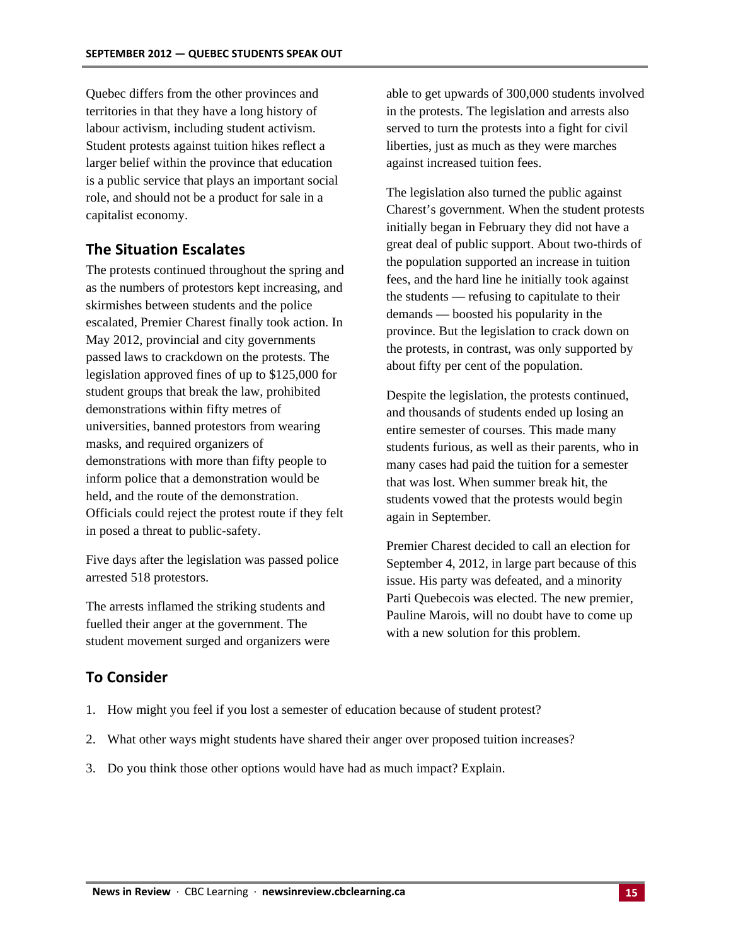Quebec differs from the other provinces and territories in that they have a long history of labour activism, including student activism. Student protests against tuition hikes reflect a larger belief within the province that education is a public service that plays an important social role, and should not be a product for sale in a capitalist economy.

#### **The Situation Escalates**

The protests continued throughout the spring and as the numbers of protestors kept increasing, and skirmishes between students and the police escalated, Premier Charest finally took action. In May 2012, provincial and city governments passed laws to crackdown on the protests. The legislation approved fines of up to \$125,000 for student groups that break the law, prohibited demonstrations within fifty metres of universities, banned protestors from wearing masks, and required organizers of demonstrations with more than fifty people to inform police that a demonstration would be held, and the route of the demonstration. Officials could reject the protest route if they felt in posed a threat to public-safety.

Five days after the legislation was passed police arrested 518 protestors.

The arrests inflamed the striking students and fuelled their anger at the government. The student movement surged and organizers were

able to get upwards of 300,000 students involved in the protests. The legislation and arrests also served to turn the protests into a fight for civil liberties, just as much as they were marches against increased tuition fees.

The legislation also turned the public against Charest's government. When the student protests initially began in February they did not have a great deal of public support. About two-thirds of the population supported an increase in tuition fees, and the hard line he initially took against the students — refusing to capitulate to their demands — boosted his popularity in the province. But the legislation to crack down on the protests, in contrast, was only supported by about fifty per cent of the population.

Despite the legislation, the protests continued, and thousands of students ended up losing an entire semester of courses. This made many students furious, as well as their parents, who in many cases had paid the tuition for a semester that was lost. When summer break hit, the students vowed that the protests would begin again in September.

Premier Charest decided to call an election for September 4, 2012, in large part because of this issue. His party was defeated, and a minority Parti Quebecois was elected. The new premier, Pauline Marois, will no doubt have to come up with a new solution for this problem.

#### **To Consider**

- 1. How might you feel if you lost a semester of education because of student protest?
- 2. What other ways might students have shared their anger over proposed tuition increases?
- 3. Do you think those other options would have had as much impact? Explain.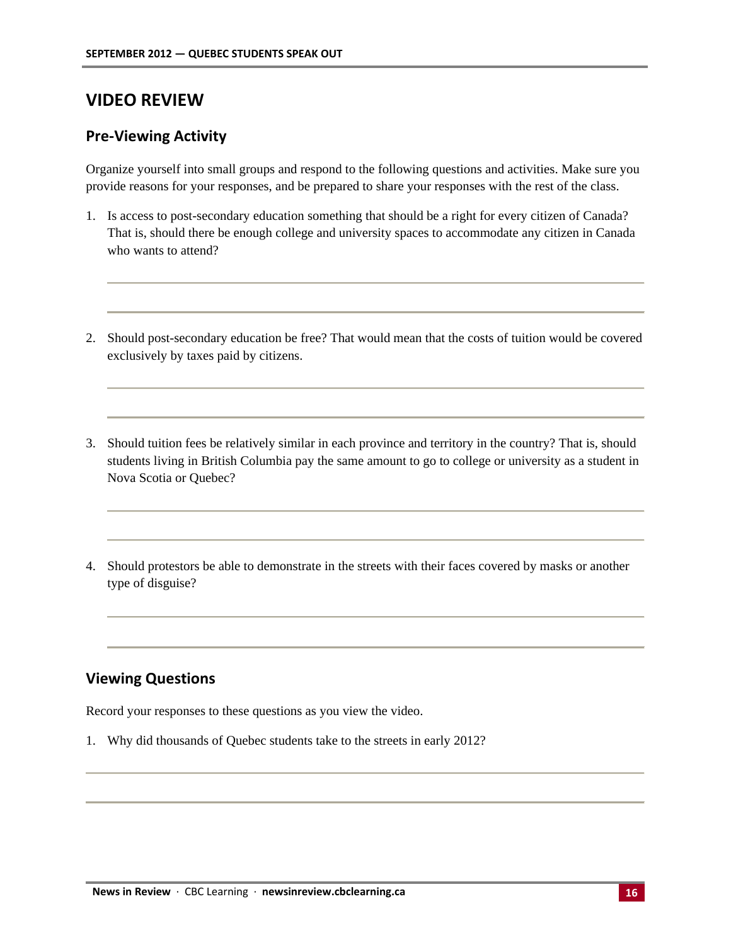# **VIDEO REVIEW**

#### **Pre-Viewing Activity**

Organize yourself into small groups and respond to the following questions and activities. Make sure you provide reasons for your responses, and be prepared to share your responses with the rest of the class.

- 1. Is access to post-secondary education something that should be a right for every citizen of Canada? That is, should there be enough college and university spaces to accommodate any citizen in Canada who wants to attend?
- 2. Should post-secondary education be free? That would mean that the costs of tuition would be covered exclusively by taxes paid by citizens.
- 3. Should tuition fees be relatively similar in each province and territory in the country? That is, should students living in British Columbia pay the same amount to go to college or university as a student in Nova Scotia or Quebec?
- 4. Should protestors be able to demonstrate in the streets with their faces covered by masks or another type of disguise?

### **Viewing Questions**

Record your responses to these questions as you view the video.

1. Why did thousands of Quebec students take to the streets in early 2012?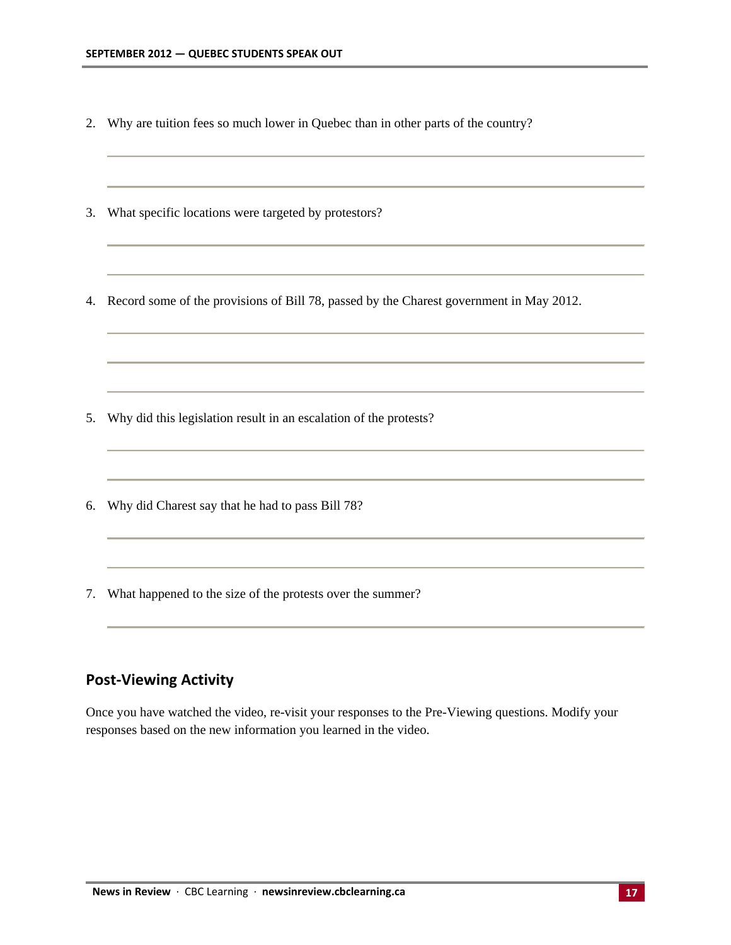- 2. Why are tuition fees so much lower in Quebec than in other parts of the country?
- 3. What specific locations were targeted by protestors?
- 4. Record some of the provisions of Bill 78, passed by the Charest government in May 2012.

- 5. Why did this legislation result in an escalation of the protests?
- 6. Why did Charest say that he had to pass Bill 78?
- 7. What happened to the size of the protests over the summer?

#### **Post-Viewing Activity**

Once you have watched the video, re-visit your responses to the Pre-Viewing questions. Modify your responses based on the new information you learned in the video.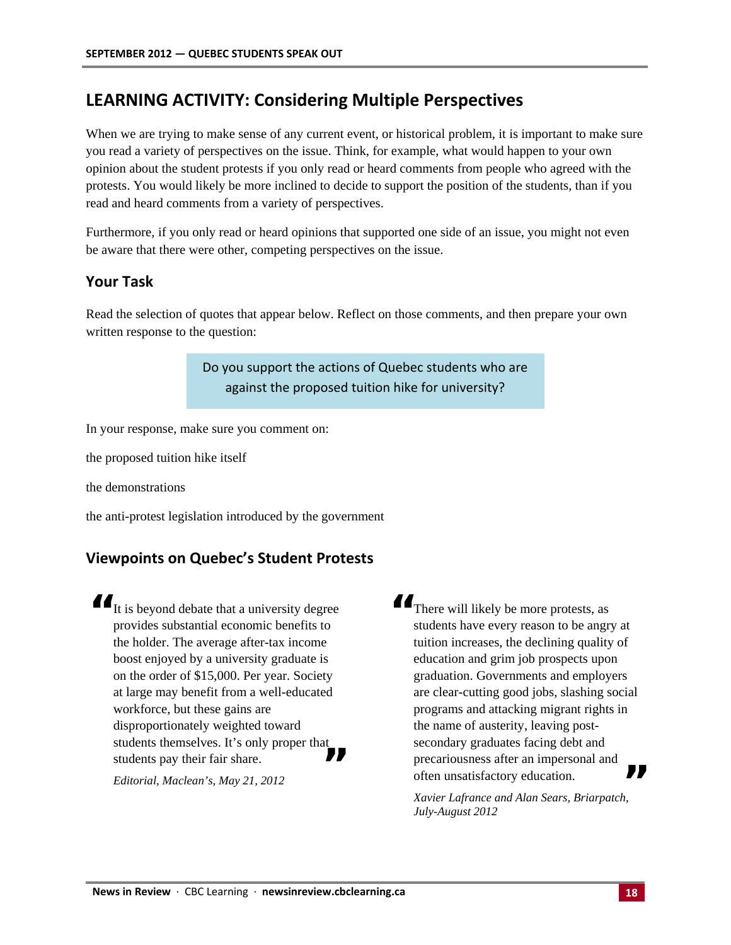# **LEARNING ACTIVITY: Considering Multiple Perspectives**

When we are trying to make sense of any current event, or historical problem, it is important to make sure you read a variety of perspectives on the issue. Think, for example, what would happen to your own opinion about the student protests if you only read or heard comments from people who agreed with the protests. You would likely be more inclined to decide to support the position of the students, than if you read and heard comments from a variety of perspectives.

Furthermore, if you only read or heard opinions that supported one side of an issue, you might not even be aware that there were other, competing perspectives on the issue.

#### **Your Task**

Read the selection of quotes that appear below. Reflect on those comments, and then prepare your own written response to the question:

> Do you support the actions of Quebec students who are against the proposed tuition hike for university?

In your response, make sure you comment on:

the proposed tuition hike itself

the demonstrations

the anti-protest legislation introduced by the government

#### **Viewpoints on Quebec's Student Protests**

**"** It is beyond debate that a university degree provides substantial economic benefits to the holder. The average after-tax income boost enjoyed by a university graduate is on the order of \$15,000. Per year. Society at large may benefit from a well-educated workforce, but these gains are disproportionately weighted toward students themselves. It's only proper that disproportionately weighted toward<br>students themselves. It's only proper that<br>students pay their fair share.

*Editorial, Maclean's, May 21, 2012*

**II** There will likely be more protests, as students have every reason to be angry at tuition increases, the declining quality of education and grim job prospects upon graduation. Governments and employers are clear-cutting good jobs, slashing social programs and attacking migrant rights in the name of austerity, leaving postsecondary graduates facing debt and precariousness after an impersonal and secondary graduates facing debt and<br>precariousness after an impersonal and<br>often unsatisfactory education.

*Xavier Lafrance and Alan Sears, Briarpatch, July-August 2012*